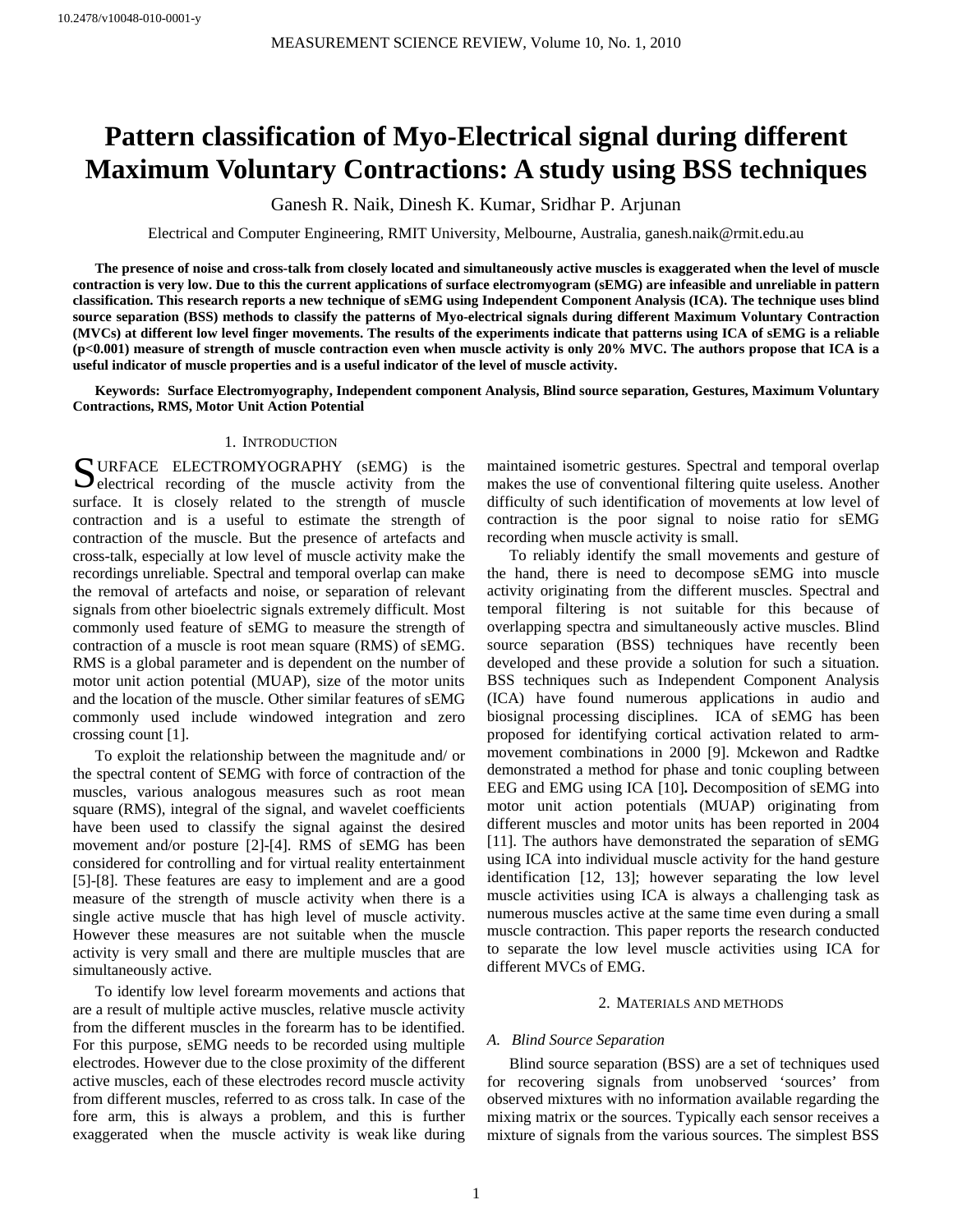# **Pattern classification of Myo-Electrical signal during different Maximum Voluntary Contractions: A study using BSS techniques**

Ganesh R. Naik, Dinesh K. Kumar, Sridhar P. Arjunan

Electrical and Computer Engineering, RMIT University, Melbourne, Australia, ganesh.naik@rmit.edu.au

**The presence of noise and cross-talk from closely located and simultaneously active muscles is exaggerated when the level of muscle contraction is very low. Due to this the current applications of surface electromyogram (sEMG) are infeasible and unreliable in pattern classification. This research reports a new technique of sEMG using Independent Component Analysis (ICA). The technique uses blind source separation (BSS) methods to classify the patterns of Myo-electrical signals during different Maximum Voluntary Contraction (MVCs) at different low level finger movements. The results of the experiments indicate that patterns using ICA of sEMG is a reliable (p<0.001) measure of strength of muscle contraction even when muscle activity is only 20% MVC. The authors propose that ICA is a useful indicator of muscle properties and is a useful indicator of the level of muscle activity.** 

**Keywords: Surface Electromyography, Independent component Analysis, Blind source separation, Gestures, Maximum Voluntary Contractions, RMS, Motor Unit Action Potential** 

## 1. INTRODUCTION

U el surfac e. It is closely related to the strength of muscle RFACE ELECTROMYOGRAPHY (sEMG) is the SURFACE ELECTROMYOGRAPHY (sEMG) is the electrical recording of the muscle activity from the contraction and is a useful to estimate the strength of contraction of the muscle. But the presence of artefacts and cross-talk, especially at low level of muscle activity make the recordings unreliable. Spectral and temporal overlap can make the removal of artefacts and noise, or separation of relevant signals from other bioelectric signals extremely difficult. Most commonly used feature of sEMG to measure the strength of contraction of a muscle is root mean square (RMS) of sEMG. RMS is a global parameter and is dependent on the number of motor unit action potential (MUAP), size of the motor units and the location of the muscle. Other similar features of sEMG commonly used include windowed integration and zero crossing count [1].

To exploit the relationship between the magnitude and/ or the spectral content of SEMG with force of contraction of the muscles, various analogous measures such as root mean square (RMS), integral of the signal, and wavelet coefficients have been used to classify the signal against the desired movement and/or posture [2]-[4]. RMS of sEMG has been considered for controlling and for virtual reality entertainment [5]-[8]. These features are easy to implement and are a good measure of the strength of muscle activity when there is a single active muscle that has high level of muscle activity. However these measures are not suitable when the muscle activity is very small and there are multiple muscles that are simultaneously active.

To identify low level forearm movements and actions that are a result of multiple active muscles, relative muscle activity from the different muscles in the forearm has to be identified. For this purpose, sEMG needs to be recorded using multiple electrodes. However due to the close proximity of the different active muscles, each of these electrodes record muscle activity from different muscles, referred to as cross talk. In case of the fore arm, this is always a problem, and this is further exaggerated when the muscle activity is weak like during

maintained isometric gestures. Spectral and temporal overlap makes the use of conventional filtering quite useless. Another difficulty of such identification of movements at low level of contraction is the poor signal to noise ratio for sEMG recording when muscle activity is small.

To reliably identify the small movements and gesture of the hand, there is need to decompose sEMG into muscle activity originating from the different muscles. Spectral and temporal filtering is not suitable for this because of overlapping spectra and simultaneously active muscles. Blind source separation (BSS) techniques have recently been developed and these provide a solution for such a situation. BSS techniques such as Independent Component Analysis (ICA) have found numerous applications in audio and biosignal processing disciplines. ICA of sEMG has been proposed for identifying cortical activation related to armmovement combinations in 2000 [9]. Mckewon and Radtke demonstrated a method for phase and tonic coupling between EEG and EMG using ICA [10]**.** Decomposition of sEMG into motor unit action potentials (MUAP) originating from different muscles and motor units has been reported in 2004 [11]. The authors have demonstrated the separation of sEMG using ICA into individual muscle activity for the hand gesture identification [12, 13]; however separating the low level muscle activities using ICA is always a challenging task as numerous muscles active at the same time even during a small muscle contraction. This paper reports the research conducted to separate the low level muscle activities using ICA for different MVCs of EMG.

### 2. MATERIALS AND METHODS

#### *A. Blind Source Separation*

Blind source separation (BSS) are a set of techniques used for recovering signals from unobserved 'sources' from observed mixtures with no information available regarding the mixing matrix or the sources. Typically each sensor receives a mixture of signals from the various sources. The simplest BSS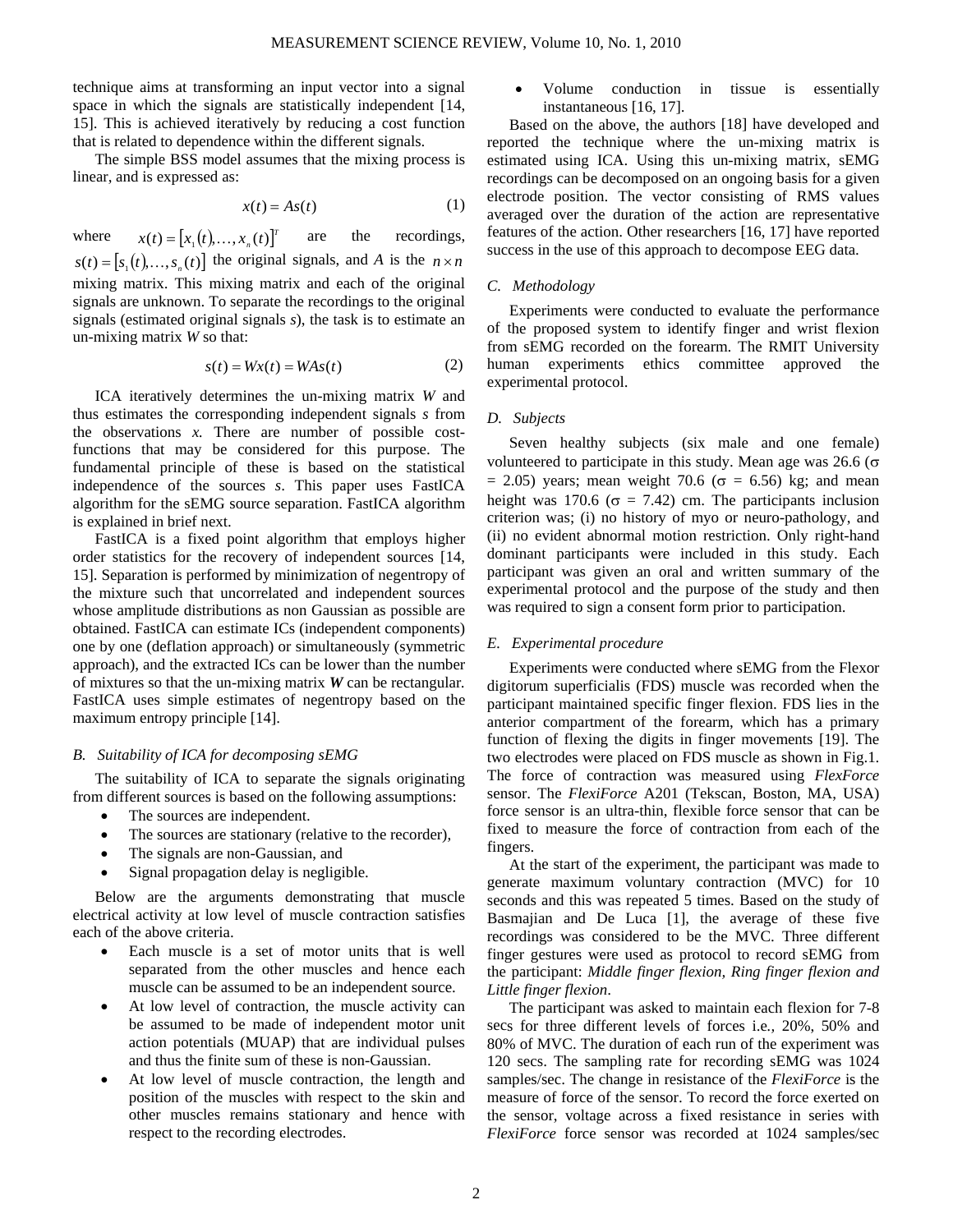technique aims at transforming an input vector into a signal space in which the signals are statistically independent [14, 15]. This is achieved iteratively by reducing a cost function that is related to dependence within the different signals.

The simple BSS model assumes that the mixing process is linear, and is expressed as:

$$
x(t) = As(t) \tag{1}
$$

where  $x(t) = [x_1(t),...,x_n(t)]^T$  $[s(t) = [s_1(t),...,s_n(t)]$  the original signals, and *A* is the  $n \times n$  are the recordings, mixing matrix. This mixing matrix and each of the original signals are unknown. To separate the recordings to the original signals (estimated original signals *s*), the task is to estimate an un-mixing matrix *W* so that:

$$
s(t) = Wx(t) = WAs(t)
$$
 (2)

ICA iteratively determines the un-mixing matrix W and thu s estimates the corresponding independent signals *s* from the observations *x.* There are number of possible costfunctions that may be considered for this purpose. The fundamental principle of these is based on the statistical independence of the sources *s*. This paper uses FastICA algorithm for the sEMG source separation. FastICA algorithm is explained in brief next.

FastICA is a fixed point algorithm that employs higher ord er statistics for the recovery of independent sources [14, 15]. Separation is performed by minimization of negentropy of the mixture such that uncorrelated and independent sources whose amplitude distributions as non Gaussian as possible are obtained. FastICA can estimate ICs (independent components) one by one (deflation approach) or simultaneously (symmetric approach), and the extracted ICs can be lower than the number of mixtures so that the un-mixing matrix *W* can be rectangular*.* FastICA uses simple estimates of negentropy based on the maximum entropy principle [14].

## *B. Suitability of ICA for decomposing sEMG*

The suitability of ICA to separate the signals originating fro m different sources is based on the following assumptions:

- The sources are independent.
- The sources are stationary (relative to the recorder),
- The signals are non-Gaussian, and
- Signal propagation delay is negligible.

Below are the arguments demonstrating that muscle electrical activity at low level of muscle contraction satisfies each of the above criteria.

- Each muscle is a set of motor units that is well separated from the other muscles and hence each muscle can be assumed to be an independent source.
- At low level of contraction, the muscle activity can be assumed to be made of independent motor unit action potentials (MUAP) that are individual pulses and thus the finite sum of these is non-Gaussian.
- At low level of muscle contraction, the length and position of the muscles with respect to the skin and other muscles remains stationary and hence with respect to the recording electrodes.

• Volume conduction in tissue is essentially instantaneous [16, 17].

Based on the above, the authors [18] have developed and reported the technique where the un-mixing matrix is estimated using ICA. Using this un-mixing matrix, sEMG recordings can be decomposed on an ongoing basis for a given electrode position. The vector consisting of RMS values averaged over the duration of the action are representative features of the action. Other researchers [16, 17] have reported success in the use of this approach to decompose EEG data.

# *C. Methodology*

Experiments were conducted to evaluate the performance of t he proposed system to identify finger and wrist flexion from sEMG recorded on the forearm. The RMIT University human experiments ethics committee approved the experimental protocol.

### *D. Subjects*

Seven healthy subjects (six male and one female) vol unteered to participate in this study. Mean age was 26.6 (σ  $= 2.05$ ) years; mean weight 70.6 ( $\sigma = 6.56$ ) kg; and mean height was 170.6 ( $\sigma$  = 7.42) cm. The participants inclusion criterion was; (i) no history of myo or neuro-pathology, and (ii) no evident abnormal motion restriction. Only right-hand dominant participants were included in this study. Each participant was given an oral and written summary of the experimental protocol and the purpose of the study and then was required to sign a consent form prior to participation.

#### *E. Experimental procedure*

Experiments were conducted where sEMG from the Flexor dig itorum superficialis (FDS) muscle was recorded when the participant maintained specific finger flexion. FDS lies in the anterior compartment of the forearm, which has a primary function of flexing the digits in finger movements [19]. The two electrodes were placed on FDS muscle as shown in Fig.1. The force of contraction was measured using *FlexForce* sensor. The *FlexiForce* A201 (Tekscan, Boston, MA, USA) force sensor is an ultra-thin, flexible force sensor that can be fixed to measure the force of contraction from each of the fingers.

At the start of the experiment, the participant was made to gen erate maximum voluntary contraction (MVC) for 10 seconds and this was repeated 5 times. Based on the study of Basmajian and De Luca [1], the average of these five recordings was considered to be the MVC. Three different finger gestures were used as protocol to record sEMG from the participant: *Middle finger flexion, Ring finger flexion and Little finger flexion*.

The participant was asked to maintain each flexion for 7-8 sec s for three different levels of forces i.e*.,* 20%, 50% and 80% of MVC. The duration of each run of the experiment was 120 secs. The sampling rate for recording sEMG was 1024 samples/sec. The change in resistance of the *FlexiForce* is the measure of force of the sensor. To record the force exerted on the sensor, voltage across a fixed resistance in series with *FlexiForce* force sensor was recorded at 1024 samples/sec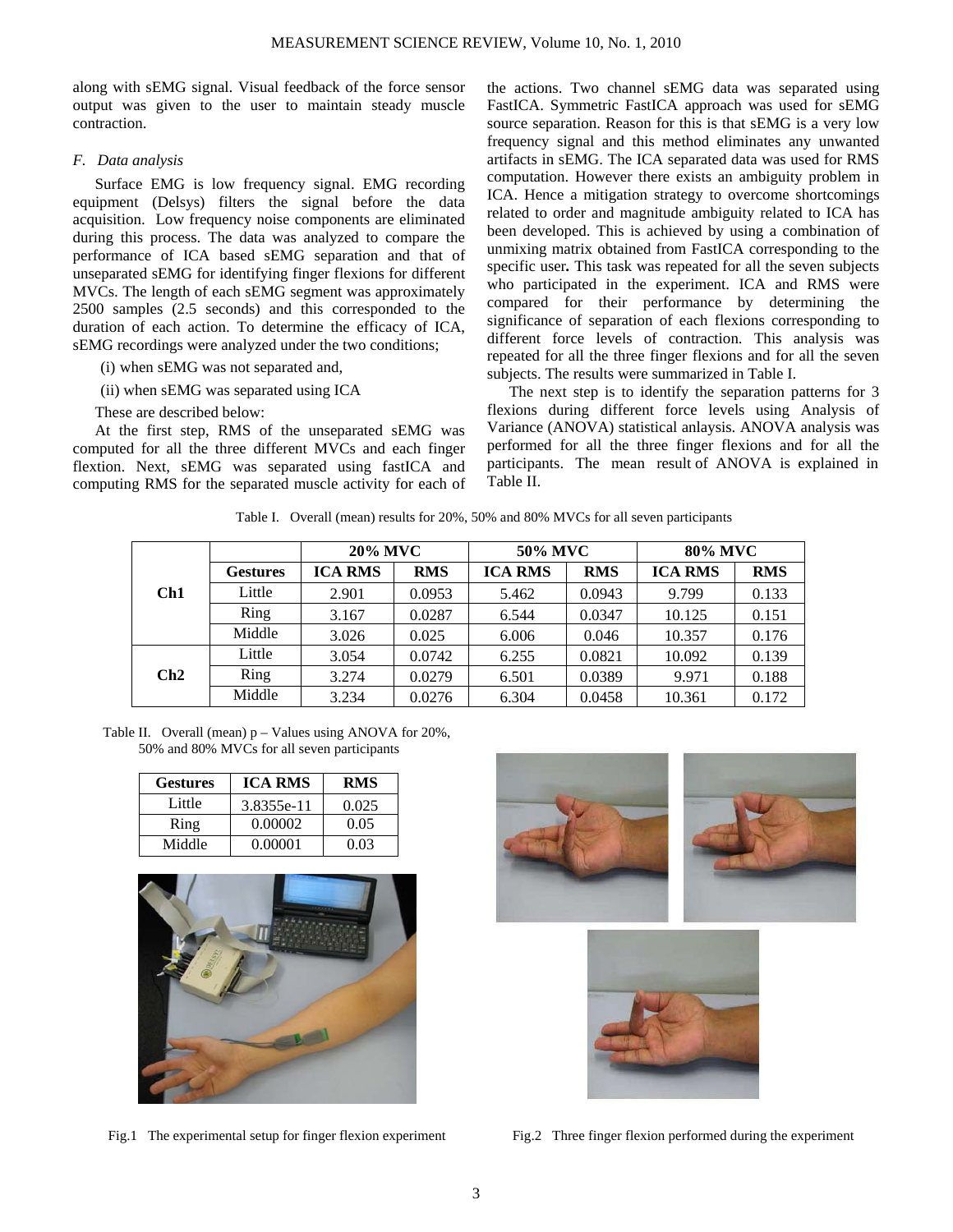along with sEMG signal. Visual feedback of the force sensor output was given to the user to maintain steady muscle contraction.

# *F. Data analysis*

Surface EMG is low frequency signal. EMG recording equ ipment (Delsys) filters the signal before the data acquisition. Low frequency noise components are eliminated during this process. The data was analyzed to compare the performance of ICA based sEMG separation and that of unseparated sEMG for identifying finger flexions for different MVCs. The length of each sEMG segment was approximately 2500 samples (2.5 seconds) and this corresponded to the duration of each action. To determine the efficacy of ICA, sEMG recordings were analyzed under the two conditions;

- (i) when sEMG was not separated and,
- (ii) when sEMG was separated using ICA
- These are described below:

At the first step, RMS of the unseparated sEMG was com puted for all the three different MVCs and each finger flextion. Next, sEMG was separated using fastICA and computing RMS for the separated muscle activity for each of

the actions. Two channel sEMG data was separated using FastICA. Symmetric FastICA approach was used for sEMG source separation. Reason for this is that sEMG is a very low frequency signal and this method eliminates any unwanted artifacts in sEMG. The ICA separated data was used for RMS computation. However there exists an ambiguity problem in ICA. Hence a mitigation strategy to overcome shortcomings related to order and magnitude ambiguity related to ICA has been developed. This is achieved by using a combination of unmixing matrix obtained from FastICA corresponding to the specific user*.* This task was repeated for all the seven subjects who participated in the experiment. ICA and RMS were compared for their performance by determining the significance of separation of each flexions corresponding to different force levels of contraction. This analysis was repeated for all the three finger flexions and for all the seven subjects. The results were summarized in Table I.

The next step is to identify the separation patterns for 3 flexions during different force levels using Analysis of Variance (ANOVA) statistical anlaysis. ANOVA analysis was performed for all the three finger flexions and for all the participants. The mean result of ANOVA is explained in Table II.

Table I. Overall (mean) results for 20%, 50% and 80% MVCs for all seven participants

|     |                 | <b>20% MVC</b> |            | 50% MVC        |            | 80% MVC        |            |
|-----|-----------------|----------------|------------|----------------|------------|----------------|------------|
|     | <b>Gestures</b> | <b>ICA RMS</b> | <b>RMS</b> | <b>ICA RMS</b> | <b>RMS</b> | <b>ICA RMS</b> | <b>RMS</b> |
| Ch1 | Little          | 2.901          | 0.0953     | 5.462          | 0.0943     | 9.799          | 0.133      |
|     | Ring            | 3.167          | 0.0287     | 6.544          | 0.0347     | 10.125         | 0.151      |
|     | Middle          | 3.026          | 0.025      | 6.006          | 0.046      | 10.357         | 0.176      |
| Ch2 | Little          | 3.054          | 0.0742     | 6.255          | 0.0821     | 10.092         | 0.139      |
|     | Ring            | 3.274          | 0.0279     | 6.501          | 0.0389     | 9.971          | 0.188      |
|     | Middle          | 3.234          | 0.0276     | 6.304          | 0.0458     | 10.361         | 0.172      |

Table II. Overall (mean) p – Values using ANOVA for 20%, 50% and 80% MVCs for all seven participants

| <b>Gestures</b> | <b>ICA RMS</b> | <b>RMS</b> |
|-----------------|----------------|------------|
| Little          | 3.8355e-11     | 0.025      |
| Ring            | 0.00002        | 0.05       |
| Middle          | 0.00001        | 0.03       |



Fig.1 The experimental setup for finger flexion experiment Fig.2 Three finger flexion performed during the experiment



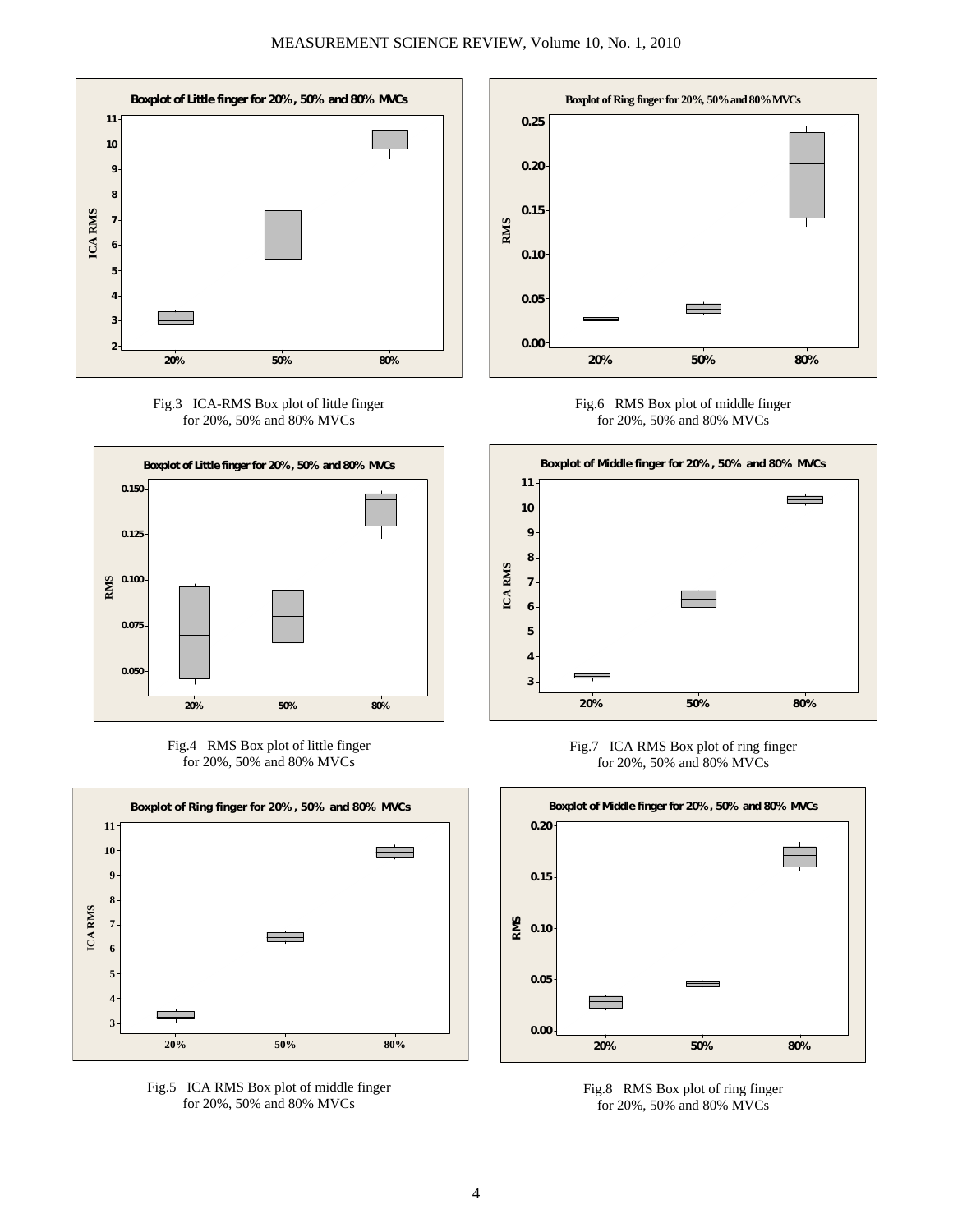

Fig.3 ICA-RMS Box plot of little finger for 20%, 50% and 80% MVCs







Fig.5 ICA RMS Box plot of middle finger for 20%, 50% and 80% MVCs











Fig.8 RMS Box plot of ring finger for 20%, 50% and 80% MVCs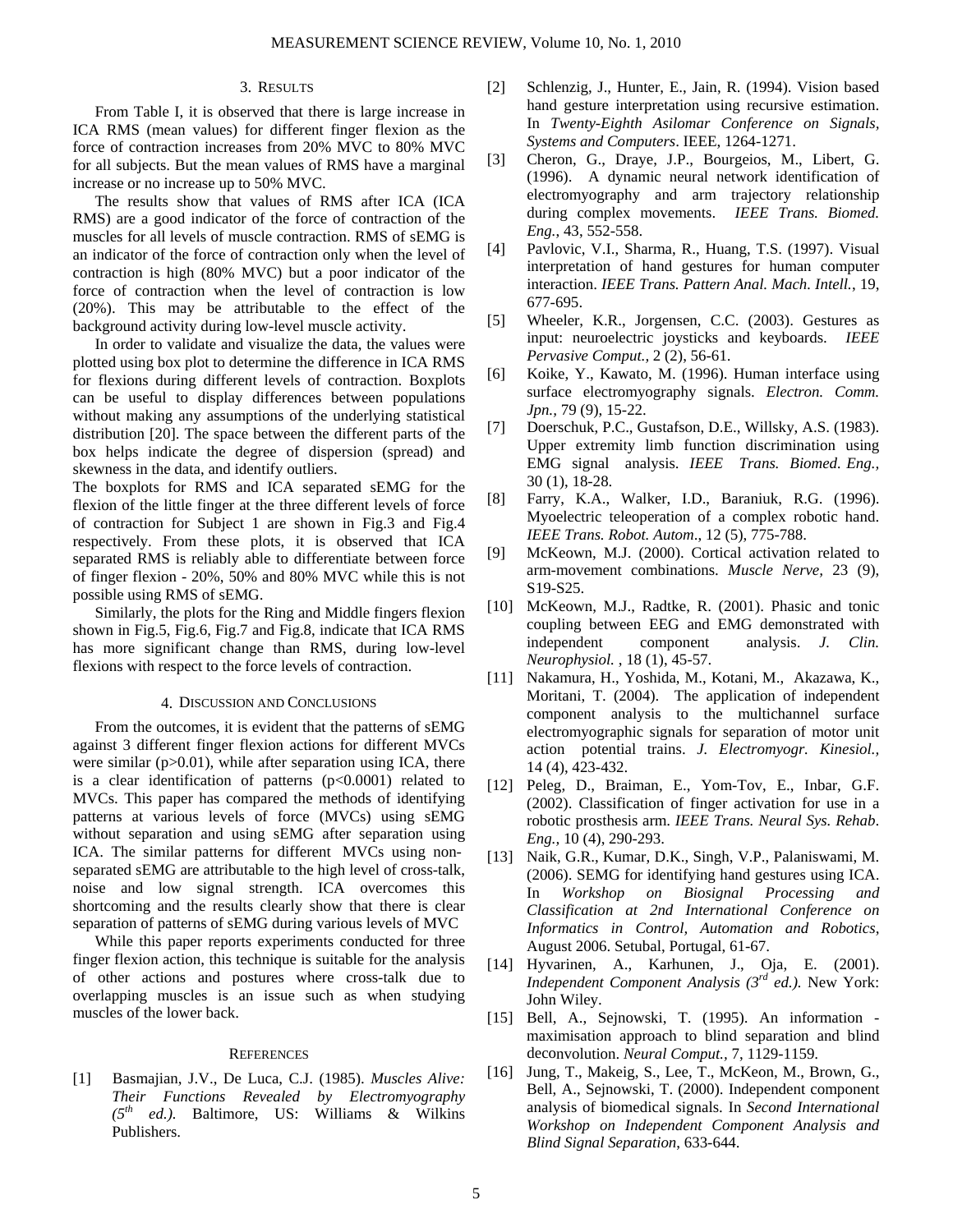## 3. RESULTS

From Table I, it is observed that there is large increase in ICA RMS (mean values) for different finger flexion as the force of contraction increases from 20% MVC to 80% MVC for all subjects. But the mean values of RMS have a marginal increase or no increase up to 50% MVC.

The results show that values of RMS after ICA (ICA RMS) are a good indicator of the force of contraction of the muscles for all levels of muscle contraction. RMS of sEMG is an indicator of the force of contraction only when the level of contraction is high (80% MVC) but a poor indicator of the force of contraction when the level of contraction is low (20%). This may be attributable to the effect of the background activity during low-level muscle activity.

In order to validate and visualize the data, the values were plotted using box plot to determine the difference in ICA RMS for flexions during different levels of contraction. Boxplots can be useful to display differences between popu lations without making any assumptions of the underlying statistical distribution [20]. The space between the different parts of the box helps indicate the degree of dispersion (spread) and skewness in the data, and identify outliers.

The boxplots for RMS and ICA separated sEMG for the flex ion of the little finger at the three different levels of force of finger flexion - 20%, 50% and 80% MVC while this is not pos sible using RMS of sEMG. of contraction for Subject 1 are shown in Fig.3 and Fig.4 respectively. From these plots, it is observed that ICA separated RMS is reliably able to differentiate between force

Similarly, the plots for the Ring and Middle fingers flexion shown in Fig.5, Fig.6, Fig.7 and Fig.8, indicate that ICA RMS has more significant change than RMS, during low-level flexions with respect to the force levels of contraction.

## 4. DISCUSSION AND CONCLUSIONS

From the outcomes, it is evident that the patterns of sEMG against 3 different finger flexion actions for different MVCs were similar  $(p>0.01)$ , while after separation using ICA, there is a clear identification of patterns  $(p<0.0001)$  related to MVCs. This paper has compared the methods of identifying patterns at various levels of force (MVCs) using sEMG without separation and using sEMG after separation using ICA. The similar patterns for different MVCs using nonseparated sEMG are attributable to the high level of cross-talk, noise and low signal strength. ICA overcomes this shortcoming and the results clearly show that there is clear separation of patterns of sEMG during various levels of MVC

While this paper reports experiments conducted for three finger flexion action, this technique is suitable for the analysis of other actions and postures where cross-talk due to overlapping muscles is an issue such as when studying muscles of the lower back.

#### **REFERENCES**

[1] Basmajian, J.V., De Luca, C.J. (1985). *Muscles Alive:* **Their Functions Revealed by Electromyography** *(5th ed.).* Baltimore, US: Williams & Wilkins Publishers.

- [2] Schlenzig, J., Hunter, E., Jain, R. (1994). Vision based hand gesture interpretation using recursive estimation. In *Twenty-Eighth Asilomar Conference on Signals, Systems and Computers*. IEEE, 1264-1271.
- [3] Cheron, G., Draye, J.P., Bourgeios, M., Libert, G. (1996). A dynamic neural network identification of electromyography and arm trajectory relationship during complex movements. *IEEE Trans. Biomed. Eng.*, 43, 552-558.
- [4] Pavlovic, V.I., Sharma, R., Huang, T.S. (1997). Visual interpretation of hand gestures for human computer interaction. *IEEE Trans. Pattern Anal. Mach. Intell.*, 19, 677-695.
- input: neuroelectric joysticks and keyboards. *IEEE Pervasive Comput.,* 2 (2), 56-61. [5] Wheeler, K.R., Jorgensen, C.C. (2003). Gestures as
- [6] Koike, Y., Kawato, M. (1996). Human interface using surface electromyography signals. *Electron. Comm. Jpn.,* 79 (9), 15-22.
- [7] Doerschuk, P.C., Gustafson, D.E., Willsky, A.S. (1983). Upper extremity limb function discrimination using EMG signal analysis. *IEEE Trans. Biomed. Eng.,* 30 (1), 18-28.
- [8] Farry, K.A., Walker, I.D., Baraniuk, R.G. (1996). Myoelectric teleoperation of a complex robotic hand. *IEEE Trans. Robot. Autom*., 12 (5), 775-788 .
- [9 McKeown, M.J. (2000). Cortical activation related to arm-movement combinations. *Muscle Nerve,* 23 (9), S19-S25.
- [10] McKeown, M.J., Radtke, R. (2001). Phasic and tonic coupling between EEG and EMG demonstrated with independent component analysis. *J. Clin. Neurophysiol.* , 18 (1), 45-57.
- [11] Nakamura, H., Yoshida, M., Kotani, M., Akazawa, K., Moritani, T. (2004). The application of independent component analysis to the multichannel surface electromyographic signals for separation of motor unit action potential trains. *J. Electromyogr. Kinesiol.,* 14 (4), 423-432.
- [12] Peleg, D., Braiman, E., Yom-Tov, E., Inbar, G.F. (2002). Classification of finger activation for use in a robotic prosthesis arm. *IEEE Trans. Neural Sys. Rehab*. *Eng.,* 10 (4), 290-293.
- [13] Naik, G.R., Kumar, D.K., Singh, V.P., Palaniswami, M. (2006). SEMG for identifying hand gestures using ICA. In *Workshop on Biosignal Processing and Classification at 2nd International Conference on Informatics in Control, Automation and Robotics*, August 2006. Setubal, Portugal, 61-67.
- *Independent Component Analysis* (3<sup>rd ed.). New York:</sup> [14] Hyvarinen, A., Karhunen, J., Oja, E. (2001). John Wiley.
- deco nvolution. *Neural Comput.,* 7, 1129-1159. [15] Bell, A., Sejnowski, T. (1995). An information maximisation approach to blind separation and blind
- *Blind Signal Separation*, 633-644. [16] Jung, T., Makeig, S., Lee, T., McKeon, M., Brown, G., Bell, A., Sejnowski, T. (2000). Independent component analysis of biomedical signals. In *Second International Workshop on Independent Component Analysis and*